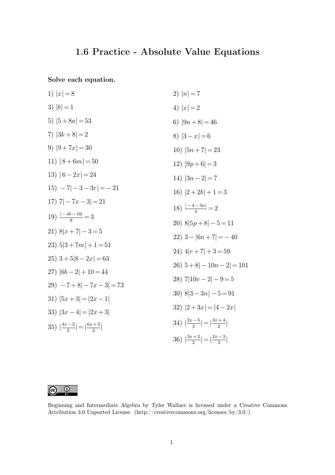## **1.6 Practice - Absolute Value Equations**

**Solve each equation.**

1) 
$$
|x| = 8
$$
  
\n2)  $|n| = 7$   
\n3)  $|b| = 1$   
\n4)  $|x| = 2$   
\n5)  $|5 + 8a| = 53$   
\n6)  $|9n + 8| = 46$   
\n7)  $|3k + 8| = 2$   
\n8)  $|3 - x| = 6$   
\n9)  $|9 + 7x| = 30$   
\n10)  $|5n + 7| = 23$   
\n11)  $|8 + 6m| = 50$   
\n12)  $|9p + 6| = 3$   
\n13)  $|6 - 2x| = 24$   
\n14)  $|3n - 2| = 7$   
\n15)  $-7| - 3 - 3r| = -21$   
\n16)  $|2 + 2b| + 1 = 3$   
\n17)  $7| - 7x - 3| = 21$   
\n18)  $\frac{|-4 - 3n|}{4} = 2$   
\n19)  $\frac{|-4b - 10|}{8} = 3$   
\n20)  $8|5p + 8| - 5 = 11$   
\n21)  $8|x + 7| - 3 = 5$   
\n22)  $3 - |6n + 7| = -40$   
\n23)  $5|3 + 7m| + 1 = 51$   
\n24)  $4|r + 7| + 3 = 59$   
\n26)  $5 + 8| - 10n - 2| = 101$   
\n27)  $|6b - 2| + 10 = 44$   
\n28)  $7|10v - 2| - 9 = 5$   
\n30)  $8|3 - 3n| - 5 = 91$   
\n31)  $|5x + 3| = |2x - 1|$   
\n32)  $|2 + 3x| = |4 - 2x|$   
\n33)  $|3x - 4| = |2x + 3|$   
\n34)  $\left|\frac{3x + 2}{3}\right| = \left|\frac{3x + 4}{2}\right|$   
\n35



Beginning and Intermediate Algebra by Tyler Wallace is licensed under a Creative Commons Attribution 3.0 Unported License. (http://creativecommons.org/licenses/by/3.0/)